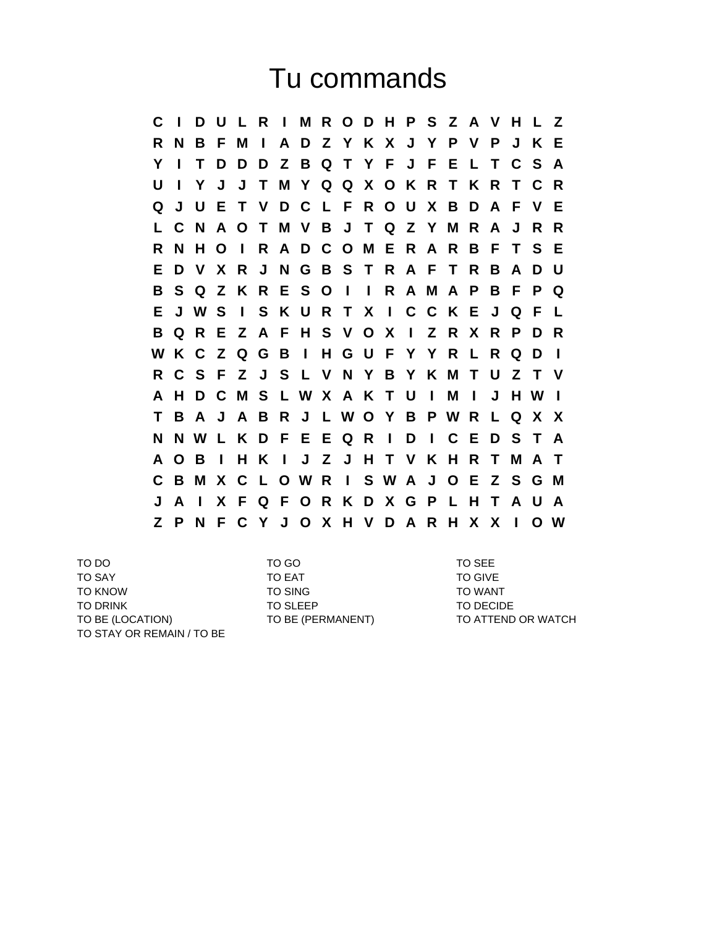## Tu commands

**C I D U L R I M R O D H P S Z A V H L Z R N B F M I A D Z Y K X J Y P V P J K E Y I T D D D Z B Q T Y F J F E L T C S A U I Y J J T M Y Q Q X O K R T K R T C R Q J U E T V D C L F R O U X B D A F V E L C N A O T M V B J T Q Z Y M R A J R R R N H O I R A D C O M E R A R B F T S E E D V X R J N G B S T R A F T R B A D U B S Q Z K R E S O I I R A M A P B F P Q E J W S I S K U R T X I C C K E J Q F L B Q R E Z A F H S V O X I Z R X R P D R W K C Z Q G B I H G U F Y Y R L R Q D I R C S F Z J S L V N Y B Y K M T U Z T V A H D C M S L W X A K T U I M I J H W I T B A J A B R J L W O Y B P W R L Q X X N N W L K D F E E Q R I D I C E D S T A A O B I H K I J Z J H T V K H R T M A T C B M X C L O W R I S W A J O E Z S G M J A I X F Q F O R K D X G P L H T A U A Z P N F C Y J O X H V D A R H X X I O W**

TO DO TO GO TO GO TO SEE TO SEE TO SAY TO EAT TO GIVE TO KNOW TO SING TO SING TO TO WANT TO DRINK TO SLEEP TO SLEEP TO DECIDE TO BE (LOCATION) TO BE (PERMANENT) TO ATTEND OR WATCH TO STAY OR REMAIN / TO BE